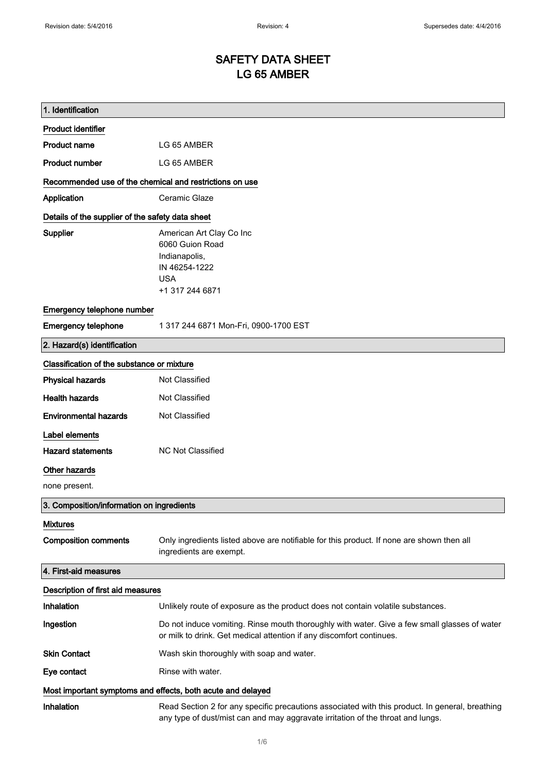# SAFETY DATA SHEET LG 65 AMBER

| 1. Identification                                           |                                                                                                                                                                                    |
|-------------------------------------------------------------|------------------------------------------------------------------------------------------------------------------------------------------------------------------------------------|
| <b>Product identifier</b>                                   |                                                                                                                                                                                    |
| <b>Product name</b>                                         | LG 65 AMBER                                                                                                                                                                        |
| <b>Product number</b>                                       | LG 65 AMBER                                                                                                                                                                        |
| Recommended use of the chemical and restrictions on use     |                                                                                                                                                                                    |
| Application                                                 | Ceramic Glaze                                                                                                                                                                      |
| Details of the supplier of the safety data sheet            |                                                                                                                                                                                    |
| Supplier                                                    | American Art Clay Co Inc<br>6060 Guion Road<br>Indianapolis,<br>IN 46254-1222<br><b>USA</b><br>+1 317 244 6871                                                                     |
| Emergency telephone number                                  |                                                                                                                                                                                    |
| <b>Emergency telephone</b>                                  | 1 317 244 6871 Mon-Fri, 0900-1700 EST                                                                                                                                              |
| 2. Hazard(s) identification                                 |                                                                                                                                                                                    |
| Classification of the substance or mixture                  |                                                                                                                                                                                    |
| <b>Physical hazards</b>                                     | Not Classified                                                                                                                                                                     |
| <b>Health hazards</b>                                       | Not Classified                                                                                                                                                                     |
| <b>Environmental hazards</b>                                | Not Classified                                                                                                                                                                     |
| Label elements                                              |                                                                                                                                                                                    |
| <b>Hazard statements</b>                                    | <b>NC Not Classified</b>                                                                                                                                                           |
| Other hazards                                               |                                                                                                                                                                                    |
| none present.                                               |                                                                                                                                                                                    |
| 3. Composition/information on ingredients                   |                                                                                                                                                                                    |
| <b>Mixtures</b>                                             |                                                                                                                                                                                    |
| <b>Composition comments</b>                                 | Only ingredients listed above are notifiable for this product. If none are shown then all<br>ingredients are exempt.                                                               |
| 4. First-aid measures                                       |                                                                                                                                                                                    |
| Description of first aid measures                           |                                                                                                                                                                                    |
| Inhalation                                                  | Unlikely route of exposure as the product does not contain volatile substances.                                                                                                    |
| Ingestion                                                   | Do not induce vomiting. Rinse mouth thoroughly with water. Give a few small glasses of water<br>or milk to drink. Get medical attention if any discomfort continues.               |
| <b>Skin Contact</b>                                         | Wash skin thoroughly with soap and water.                                                                                                                                          |
| Eye contact                                                 | Rinse with water.                                                                                                                                                                  |
| Most important symptoms and effects, both acute and delayed |                                                                                                                                                                                    |
| Inhalation                                                  | Read Section 2 for any specific precautions associated with this product. In general, breathing<br>any type of dust/mist can and may aggravate irritation of the throat and lungs. |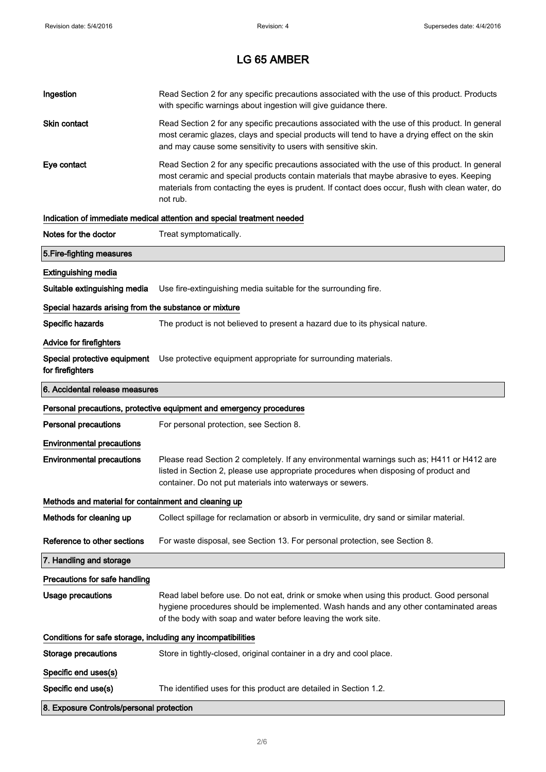| Ingestion                                                    | Read Section 2 for any specific precautions associated with the use of this product. Products<br>with specific warnings about ingestion will give guidance there.                                                                                                                                           |  |
|--------------------------------------------------------------|-------------------------------------------------------------------------------------------------------------------------------------------------------------------------------------------------------------------------------------------------------------------------------------------------------------|--|
| Skin contact                                                 | Read Section 2 for any specific precautions associated with the use of this product. In general<br>most ceramic glazes, clays and special products will tend to have a drying effect on the skin<br>and may cause some sensitivity to users with sensitive skin.                                            |  |
| Eye contact                                                  | Read Section 2 for any specific precautions associated with the use of this product. In general<br>most ceramic and special products contain materials that maybe abrasive to eyes. Keeping<br>materials from contacting the eyes is prudent. If contact does occur, flush with clean water, do<br>not rub. |  |
|                                                              | Indication of immediate medical attention and special treatment needed                                                                                                                                                                                                                                      |  |
| Notes for the doctor                                         | Treat symptomatically.                                                                                                                                                                                                                                                                                      |  |
| 5. Fire-fighting measures                                    |                                                                                                                                                                                                                                                                                                             |  |
| <b>Extinguishing media</b>                                   |                                                                                                                                                                                                                                                                                                             |  |
| Suitable extinguishing media                                 | Use fire-extinguishing media suitable for the surrounding fire.                                                                                                                                                                                                                                             |  |
| Special hazards arising from the substance or mixture        |                                                                                                                                                                                                                                                                                                             |  |
| Specific hazards                                             | The product is not believed to present a hazard due to its physical nature.                                                                                                                                                                                                                                 |  |
| <b>Advice for firefighters</b>                               |                                                                                                                                                                                                                                                                                                             |  |
| for firefighters                                             | Special protective equipment Use protective equipment appropriate for surrounding materials.                                                                                                                                                                                                                |  |
| 6. Accidental release measures                               |                                                                                                                                                                                                                                                                                                             |  |
|                                                              |                                                                                                                                                                                                                                                                                                             |  |
|                                                              | Personal precautions, protective equipment and emergency procedures                                                                                                                                                                                                                                         |  |
| <b>Personal precautions</b>                                  | For personal protection, see Section 8.                                                                                                                                                                                                                                                                     |  |
| <b>Environmental precautions</b>                             |                                                                                                                                                                                                                                                                                                             |  |
| <b>Environmental precautions</b>                             | Please read Section 2 completely. If any environmental warnings such as; H411 or H412 are<br>listed in Section 2, please use appropriate procedures when disposing of product and<br>container. Do not put materials into waterways or sewers.                                                              |  |
| Methods and material for containment and cleaning up         |                                                                                                                                                                                                                                                                                                             |  |
| Methods for cleaning up                                      | Collect spillage for reclamation or absorb in vermiculite, dry sand or similar material.                                                                                                                                                                                                                    |  |
| Reference to other sections                                  | For waste disposal, see Section 13. For personal protection, see Section 8.                                                                                                                                                                                                                                 |  |
| 7. Handling and storage                                      |                                                                                                                                                                                                                                                                                                             |  |
| Precautions for safe handling                                |                                                                                                                                                                                                                                                                                                             |  |
| <b>Usage precautions</b>                                     | Read label before use. Do not eat, drink or smoke when using this product. Good personal<br>hygiene procedures should be implemented. Wash hands and any other contaminated areas<br>of the body with soap and water before leaving the work site.                                                          |  |
| Conditions for safe storage, including any incompatibilities |                                                                                                                                                                                                                                                                                                             |  |
| Storage precautions                                          | Store in tightly-closed, original container in a dry and cool place.                                                                                                                                                                                                                                        |  |
| Specific end uses(s)                                         |                                                                                                                                                                                                                                                                                                             |  |
| Specific end use(s)                                          | The identified uses for this product are detailed in Section 1.2.                                                                                                                                                                                                                                           |  |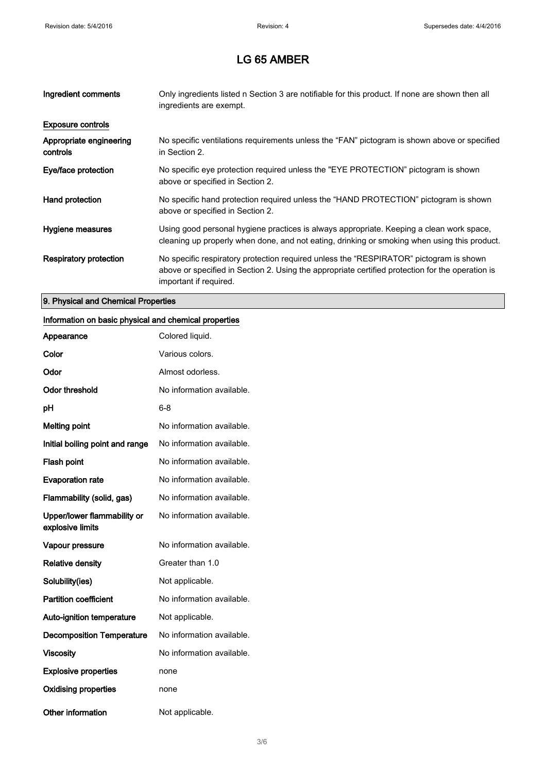| Ingredient comments                 | Only ingredients listed n Section 3 are notifiable for this product. If none are shown then all<br>ingredients are exempt.                                                                                           |
|-------------------------------------|----------------------------------------------------------------------------------------------------------------------------------------------------------------------------------------------------------------------|
| <b>Exposure controls</b>            |                                                                                                                                                                                                                      |
| Appropriate engineering<br>controls | No specific ventilations requirements unless the "FAN" pictogram is shown above or specified<br>in Section 2.                                                                                                        |
| Eye/face protection                 | No specific eye protection required unless the "EYE PROTECTION" pictogram is shown<br>above or specified in Section 2.                                                                                               |
| Hand protection                     | No specific hand protection required unless the "HAND PROTECTION" pictogram is shown<br>above or specified in Section 2.                                                                                             |
| Hygiene measures                    | Using good personal hygiene practices is always appropriate. Keeping a clean work space,<br>cleaning up properly when done, and not eating, drinking or smoking when using this product.                             |
| <b>Respiratory protection</b>       | No specific respiratory protection required unless the "RESPIRATOR" pictogram is shown<br>above or specified in Section 2. Using the appropriate certified protection for the operation is<br>important if required. |

### 9. Physical and Chemical Properties

## Information on basic physical and chemical properties

| Appearance                                      | Colored liquid.           |
|-------------------------------------------------|---------------------------|
| Color                                           | Various colors.           |
| Odor                                            | Almost odorless.          |
| Odor threshold                                  | No information available. |
| рH                                              | 6-8                       |
| <b>Melting point</b>                            | No information available. |
| Initial boiling point and range                 | No information available. |
| <b>Flash point</b>                              | No information available. |
| <b>Evaporation rate</b>                         | No information available. |
| Flammability (solid, gas)                       | No information available. |
| Upper/lower flammability or<br>explosive limits | No information available. |
| Vapour pressure                                 | No information available. |
| <b>Relative density</b>                         | Greater than 1.0          |
| Solubility(ies)                                 | Not applicable.           |
| <b>Partition coefficient</b>                    | No information available. |
| <b>Auto-ignition temperature</b>                | Not applicable.           |
| <b>Decomposition Temperature</b>                | No information available. |
| <b>Viscosity</b>                                | No information available. |
| <b>Explosive properties</b>                     | none                      |
| Oxidising properties                            | none                      |
| Other information                               | Not applicable.           |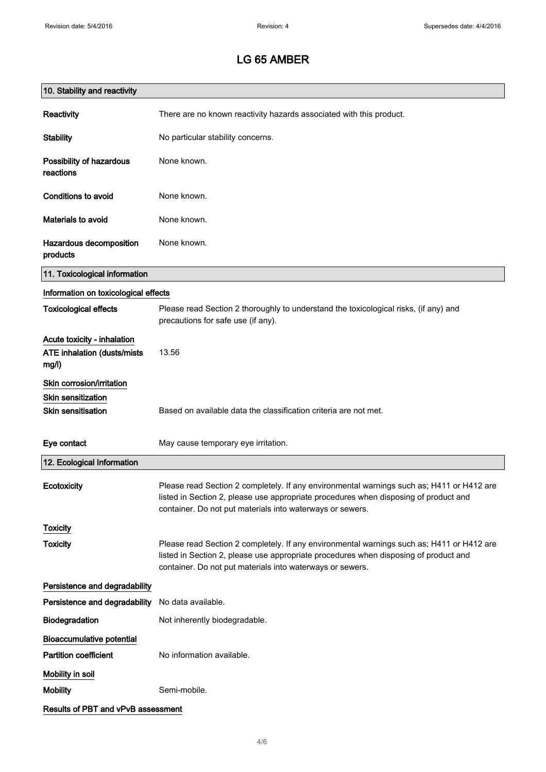| 10. Stability and reactivity                                        |                                                                                                                                                                                                                                                |
|---------------------------------------------------------------------|------------------------------------------------------------------------------------------------------------------------------------------------------------------------------------------------------------------------------------------------|
| Reactivity                                                          | There are no known reactivity hazards associated with this product.                                                                                                                                                                            |
| <b>Stability</b>                                                    | No particular stability concerns.                                                                                                                                                                                                              |
| Possibility of hazardous<br>reactions                               | None known.                                                                                                                                                                                                                                    |
| <b>Conditions to avoid</b>                                          | None known.                                                                                                                                                                                                                                    |
| <b>Materials to avoid</b>                                           | None known.                                                                                                                                                                                                                                    |
| Hazardous decomposition<br>products                                 | None known.                                                                                                                                                                                                                                    |
| 11. Toxicological information                                       |                                                                                                                                                                                                                                                |
| Information on toxicological effects                                |                                                                                                                                                                                                                                                |
| <b>Toxicological effects</b>                                        | Please read Section 2 thoroughly to understand the toxicological risks, (if any) and<br>precautions for safe use (if any).                                                                                                                     |
| Acute toxicity - inhalation<br>ATE inhalation (dusts/mists<br>mg/l) | 13.56                                                                                                                                                                                                                                          |
| Skin corrosion/irritation                                           |                                                                                                                                                                                                                                                |
| Skin sensitization                                                  |                                                                                                                                                                                                                                                |
| <b>Skin sensitisation</b>                                           | Based on available data the classification criteria are not met.                                                                                                                                                                               |
| Eye contact                                                         | May cause temporary eye irritation.                                                                                                                                                                                                            |
| 12. Ecological Information                                          |                                                                                                                                                                                                                                                |
| Ecotoxicity                                                         | Please read Section 2 completely. If any environmental warnings such as; H411 or H412 are<br>listed in Section 2, please use appropriate procedures when disposing of product and<br>container. Do not put materials into waterways or sewers. |
| <b>Toxicity</b>                                                     |                                                                                                                                                                                                                                                |
| <b>Toxicity</b>                                                     | Please read Section 2 completely. If any environmental warnings such as; H411 or H412 are<br>listed in Section 2, please use appropriate procedures when disposing of product and<br>container. Do not put materials into waterways or sewers. |
| Persistence and degradability                                       |                                                                                                                                                                                                                                                |
| Persistence and degradability                                       | No data available.                                                                                                                                                                                                                             |
| Biodegradation                                                      | Not inherently biodegradable.                                                                                                                                                                                                                  |
| <b>Bioaccumulative potential</b>                                    |                                                                                                                                                                                                                                                |
| <b>Partition coefficient</b>                                        | No information available.                                                                                                                                                                                                                      |
| Mobility in soil                                                    |                                                                                                                                                                                                                                                |
| <b>Mobility</b>                                                     | Semi-mobile.                                                                                                                                                                                                                                   |
| Results of PBT and vPvB assessment                                  |                                                                                                                                                                                                                                                |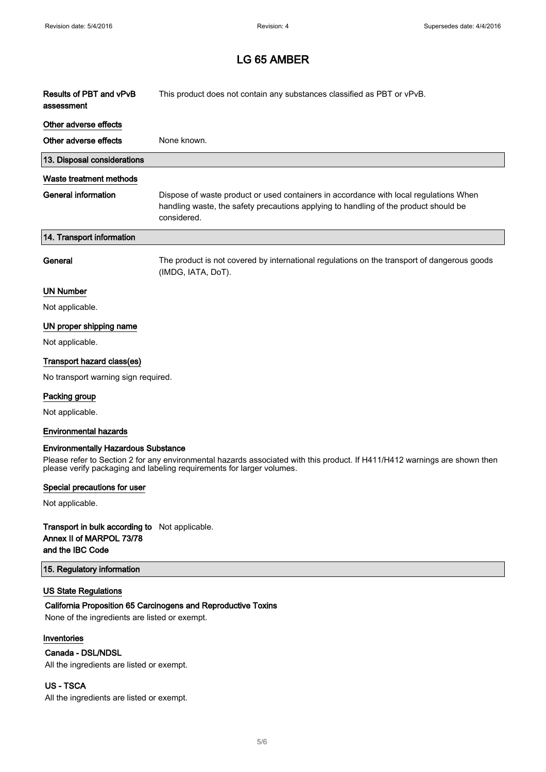| Results of PBT and vPvB<br>assessment | This product does not contain any substances classified as PBT or vPvB.                                                                                                                      |
|---------------------------------------|----------------------------------------------------------------------------------------------------------------------------------------------------------------------------------------------|
| Other adverse effects                 |                                                                                                                                                                                              |
| Other adverse effects                 | None known.                                                                                                                                                                                  |
| 13. Disposal considerations           |                                                                                                                                                                                              |
| Waste treatment methods               |                                                                                                                                                                                              |
| <b>General information</b>            | Dispose of waste product or used containers in accordance with local regulations When<br>handling waste, the safety precautions applying to handling of the product should be<br>considered. |
| 14. Transport information             |                                                                                                                                                                                              |
| General                               | The product is not covered by international regulations on the transport of dangerous goods<br>(IMDG, IATA, DoT).                                                                            |
| <b>UN Number</b>                      |                                                                                                                                                                                              |
| Not applicable.                       |                                                                                                                                                                                              |
| UN proper shipping name               |                                                                                                                                                                                              |
| Not applicable.                       |                                                                                                                                                                                              |
| Transport hazard class(es)            |                                                                                                                                                                                              |
| No transport warning sign required.   |                                                                                                                                                                                              |
| Packing group                         |                                                                                                                                                                                              |
| Not applicable.                       |                                                                                                                                                                                              |
| <b>Environmental hazards</b>          |                                                                                                                                                                                              |

#### Environmentally Hazardous Substance

Please refer to Section 2 for any environmental hazards associated with this product. If H411/H412 warnings are shown then please verify packaging and labeling requirements for larger volumes.

#### Special precautions for user

Not applicable.

#### Transport in bulk according to Not applicable. Annex II of MARPOL 73/78 and the IBC Code

#### 15. Regulatory information

#### US State Regulations

#### California Proposition 65 Carcinogens and Reproductive Toxins

None of the ingredients are listed or exempt.

#### Inventories

#### Canada - DSL/NDSL

All the ingredients are listed or exempt.

#### US - TSCA

All the ingredients are listed or exempt.